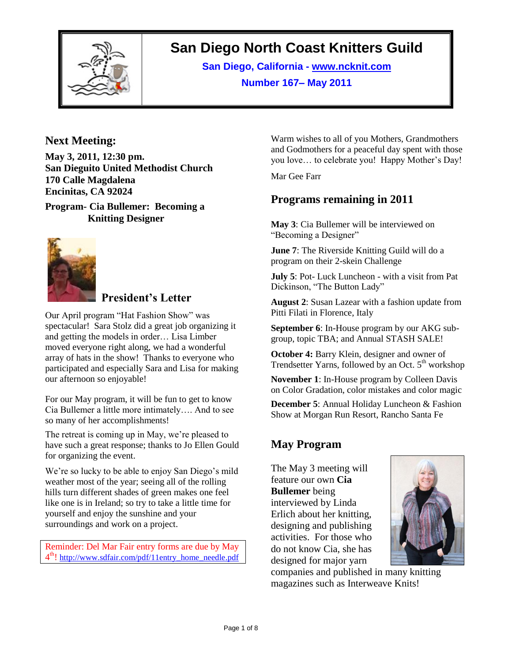

# **San Diego North Coast Knitters Guild**

**San Diego, California - www.ncknit.com Number 167– May 2011**

### **Next Meeting:**

**May 3, 2011, 12:30 pm. San Dieguito United Methodist Church 170 Calle Magdalena Encinitas, CA 92024**

**Program- Cia Bullemer: Becoming a Knitting Designer**



# **President's Letter**

Our April program "Hat Fashion Show" was spectacular! Sara Stolz did a great job organizing it and getting the models in order… Lisa Limber moved everyone right along, we had a wonderful array of hats in the show! Thanks to everyone who participated and especially Sara and Lisa for making our afternoon so enjoyable!

For our May program, it will be fun to get to know Cia Bullemer a little more intimately…. And to see so many of her accomplishments!

The retreat is coming up in May, we're pleased to have such a great response; thanks to Jo Ellen Gould for organizing the event.

We're so lucky to be able to enjoy San Diego's mild weather most of the year; seeing all of the rolling hills turn different shades of green makes one feel like one is in Ireland; so try to take a little time for yourself and enjoy the sunshine and your surroundings and work on a project.

Reminder: Del Mar Fair entry forms are due by May 4<sup>th</sup>! [http://www.sdfair.com/pdf/11entry\\_home\\_needle.pdf](http://www.sdfair.com/pdf/11entry_home_needle.pdf)

Warm wishes to all of you Mothers, Grandmothers and Godmothers for a peaceful day spent with those you love… to celebrate you! Happy Mother's Day!

Mar Gee Farr

# **Programs remaining in 2011**

**May 3**: Cia Bullemer will be interviewed on "Becoming a Designer"

**June 7**: The Riverside Knitting Guild will do a program on their 2-skein Challenge

**July 5**: Pot- Luck Luncheon - with a visit from Pat Dickinson, "The Button Lady"

**August 2**: Susan Lazear with a fashion update from Pitti Filati in Florence, Italy

**September 6**: In-House program by our AKG subgroup, topic TBA; and Annual STASH SALE!

**October 4:** Barry Klein, designer and owner of Trendsetter Yarns, followed by an Oct.  $5<sup>th</sup>$  workshop

**November 1**: In-House program by Colleen Davis on Color Gradation, color mistakes and color magic

**December 5**: Annual Holiday Luncheon & Fashion Show at Morgan Run Resort, Rancho Santa Fe

# **May Program**

The May 3 meeting will feature our own **Cia Bullemer** being interviewed by Linda Erlich about her knitting, designing and publishing activities. For those who do not know Cia, she has designed for major yarn



companies and published in many knitting magazines such as Interweave Knits!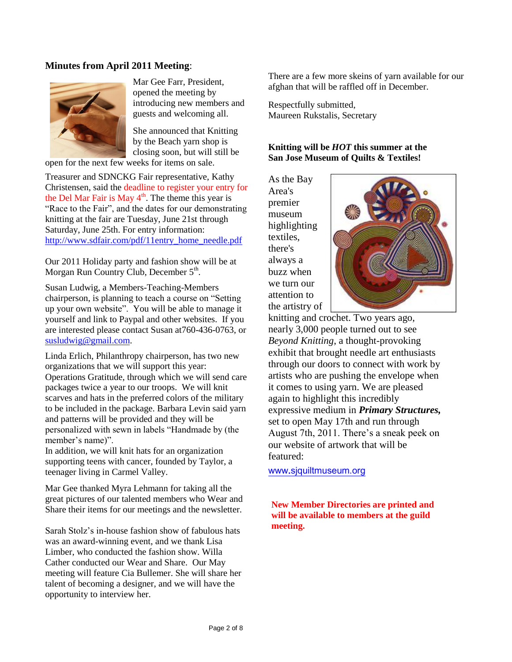#### **Minutes from April 2011 Meeting**:



Mar Gee Farr, President, opened the meeting by introducing new members and guests and welcoming all.

She announced that Knitting by the Beach yarn shop is closing soon, but will still be

open for the next few weeks for items on sale.

Treasurer and SDNCKG Fair representative, Kathy Christensen, said the deadline to register your entry for the Del Mar Fair is May  $4<sup>th</sup>$ . The theme this year is "Race to the Fair", and the dates for our demonstrating knitting at the fair are Tuesday, June 21st through Saturday, June 25th. For entry information: [http://www.sdfair.com/pdf/11entry\\_home\\_needle.pdf](http://www.sdfair.com/pdf/11entry_home_needle.pdf)

Our 2011 Holiday party and fashion show will be at Morgan Run Country Club, December 5<sup>th</sup>.

Susan Ludwig, a Members-Teaching-Members chairperson, is planning to teach a course on "Setting up your own website". You will be able to manage it yourself and link to Paypal and other websites. If you are interested please contact Susan at760-436-0763, or [susludwig@gmail.com.](mailto:susludwig@gmail.com)

Linda Erlich, Philanthropy chairperson, has two new organizations that we will support this year: Operations Gratitude, through which we will send care packages twice a year to our troops. We will knit scarves and hats in the preferred colors of the military to be included in the package. Barbara Levin said yarn and patterns will be provided and they will be personalized with sewn in labels "Handmade by (the member's name)".

In addition, we will knit hats for an organization supporting teens with cancer, founded by Taylor, a teenager living in Carmel Valley.

Mar Gee thanked Myra Lehmann for taking all the great pictures of our talented members who Wear and Share their items for our meetings and the newsletter.

Sarah Stolz's in-house fashion show of fabulous hats was an award-winning event, and we thank Lisa Limber, who conducted the fashion show. Willa Cather conducted our Wear and Share. Our May meeting will feature Cia Bullemer. She will share her talent of becoming a designer, and we will have the opportunity to interview her.

There are a few more skeins of yarn available for our afghan that will be raffled off in December.

Respectfully submitted, Maureen Rukstalis, Secretary

#### **Knitting will be** *HOT* **this summer at the San Jose Museum of Quilts & Textiles!**

As the Bay Area's premier museum highlighting textiles, there's always a buzz when we turn our attention to the artistry of



knitting and crochet. Two years ago, nearly 3,000 people turned out to see *Beyond Knitting*, a thought-provoking exhibit that brought needle art enthusiasts through our doors to connect with work by artists who are pushing the envelope when it comes to using yarn. We are pleased again to highlight this incredibly expressive medium in *Primary Structures,* set to open May 17th and run through August 7th, 2011. There's a sneak peek on our website of artwork that will be featured:

[www.sjquiltmuseum.org](http://www.sjquiltmuseum.org/)

**New Member Directories are printed and will be available to members at the guild meeting.**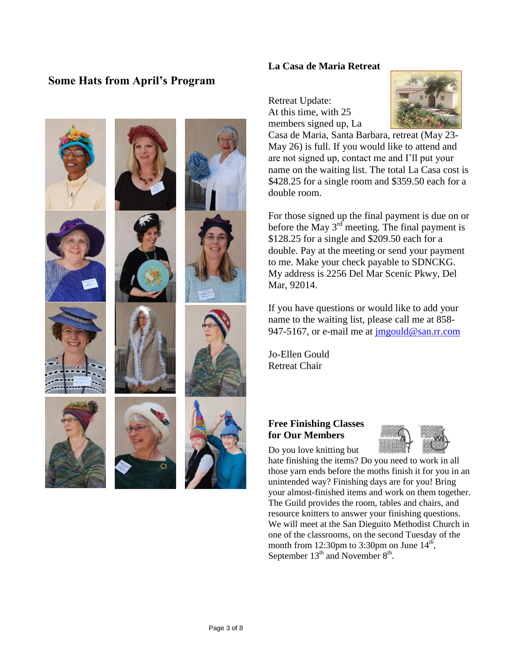# **Some Hats from April's Program**













#### **La Casa de Maria Retreat**

Retreat Update: At this time, with 25 members signed up, La



Casa de Maria, Santa Barbara, retreat (May 23- May 26) is full. If you would like to attend and are not signed up, contact me and I'll put your name on the waiting list. The total La Casa cost is \$428.25 for a single room and \$359.50 each for a double room.

For those signed up the final payment is due on or before the May  $3<sup>rd</sup>$  meeting. The final payment is \$128.25 for a single and \$209.50 each for a double. Pay at the meeting or send your payment to me. Make your check payable to SDNCKG. My address is 2256 Del Mar Scenic Pkwy, Del Mar, 92014.

If you have questions or would like to add your name to the waiting list, please call me at 858 947-5167, or e-mail me at [jmgould@san.rr.com](mailto:jmgould@san.rr.com)

Jo-Ellen Gould Retreat Chair

#### **Free Finishing Classes for Our Members**

Do you love knitting but



hate finishing the items? Do you need to work in all those yarn ends before the moths finish it for you in an unintended way? Finishing days are for you! Bring your almost-finished items and work on them together. The Guild provides the room, tables and chairs, and resource knitters to answer your finishing questions. We will meet at the San Dieguito Methodist Church in one of the classrooms, on the second Tuesday of the month from 12:30pm to 3:30pm on June  $14<sup>th</sup>$ , September  $13<sup>th</sup>$  and November  $8<sup>th</sup>$ .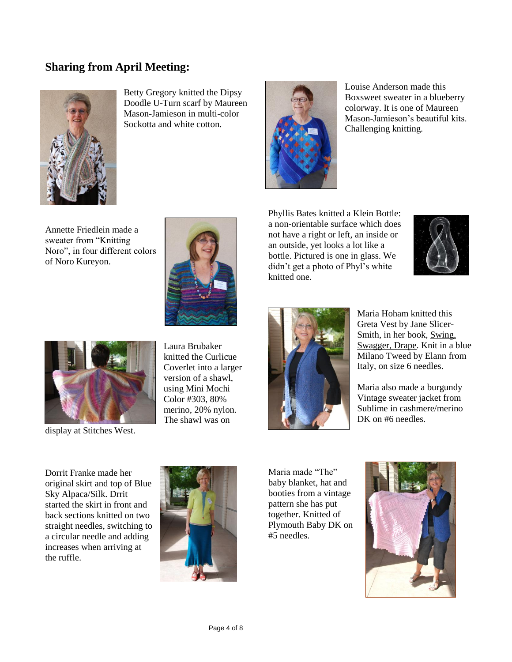# **Sharing from April Meeting:**



Betty Gregory knitted the Dipsy Doodle U-Turn scarf by Maureen Mason-Jamieson in multi-color Sockotta and white cotton.



Louise Anderson made this Boxsweet sweater in a blueberry colorway. It is one of Maureen Mason-Jamieson's beautiful kits. Challenging knitting.

Annette Friedlein made a sweater from "Knitting Noro", in four different colors of Noro Kureyon.



Phyllis Bates knitted a Klein Bottle: a non-orientable surface which does not have a right or left, an inside or an outside, yet looks a lot like a bottle. Pictured is one in glass. We didn't get a photo of Phyl's white knitted one.





display at Stitches West.

Laura Brubaker knitted the Curlicue Coverlet into a larger version of a shawl, using Mini Mochi Color #303, 80% merino, 20% nylon. The shawl was on



Maria Hoham knitted this Greta Vest by Jane Slicer-Smith, in her book, Swing, Swagger, Drape. Knit in a blue Milano Tweed by Elann from Italy, on size 6 needles.

Maria also made a burgundy Vintage sweater jacket from Sublime in cashmere/merino DK on #6 needles.

Dorrit Franke made her original skirt and top of Blue Sky Alpaca/Silk. Drrit started the skirt in front and back sections knitted on two straight needles, switching to a circular needle and adding increases when arriving at the ruffle.



Maria made "The" baby blanket, hat and booties from a vintage pattern she has put together. Knitted of Plymouth Baby DK on #5 needles.

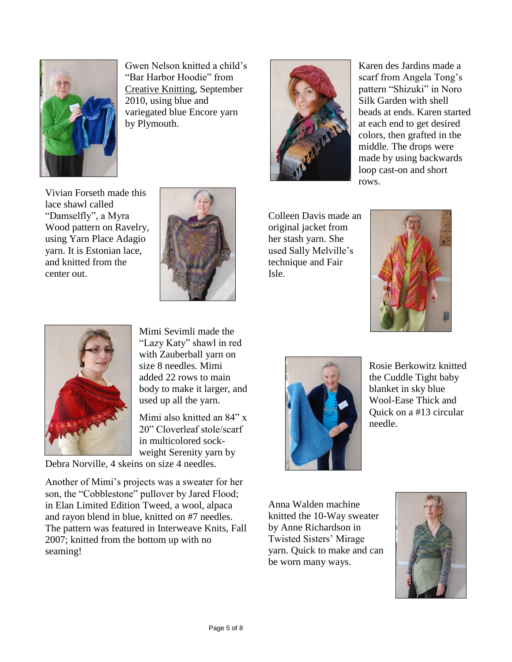

Gwen Nelson knitted a child's "Bar Harbor Hoodie" from Creative Knitting, September 2010, using blue and variegated blue Encore yarn by Plymouth.



Karen des Jardins made a scarf from Angela Tong's pattern "Shizuki" in Noro Silk Garden with shell beads at ends. Karen started at each end to get desired colors, then grafted in the middle. The drops were made by using backwards loop cast-on and short rows.

Vivian Forseth made this lace shawl called "Damselfly", a Myra Wood pattern on Ravelry, using Yarn Place Adagio yarn. It is Estonian lace, and knitted from the center out.



Colleen Davis made an original jacket from her stash yarn. She used Sally Melville's technique and Fair Isle.





Mimi Sevimli made the "Lazy Katy" shawl in red with Zauberball yarn on size 8 needles. Mimi added 22 rows to main body to make it larger, and used up all the yarn.

Mimi also knitted an 84" x 20" Cloverleaf stole/scarf in multicolored sockweight Serenity yarn by

Debra Norville, 4 skeins on size 4 needles.

Another of Mimi's projects was a sweater for her son, the "Cobblestone" pullover by Jared Flood; in Elan Limited Edition Tweed, a wool, alpaca and rayon blend in blue, knitted on #7 needles. The pattern was featured in Interweave Knits, Fall 2007; knitted from the bottom up with no seaming!



Rosie Berkowitz knitted the Cuddle Tight baby blanket in sky blue Wool-Ease Thick and Quick on a #13 circular needle.

Anna Walden machine knitted the 10-Way sweater by Anne Richardson in Twisted Sisters' Mirage yarn. Quick to make and can be worn many ways.

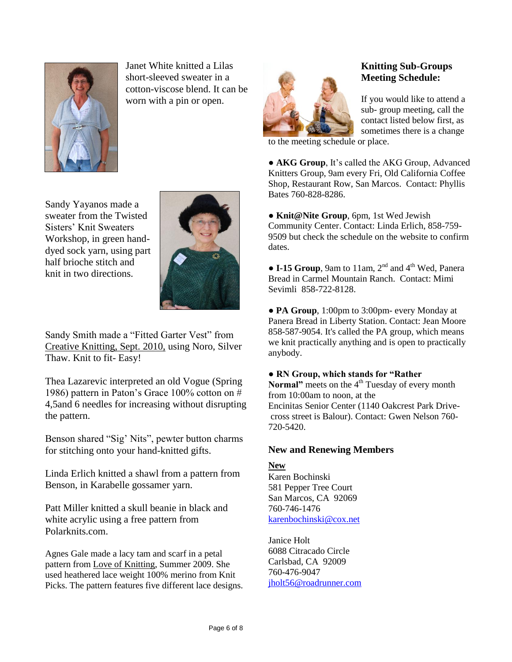

Janet White knitted a Lilas short-sleeved sweater in a cotton-viscose blend. It can be worn with a pin or open.

Sandy Yayanos made a sweater from the Twisted Sisters' Knit Sweaters Workshop, in green handdyed sock yarn, using part half brioche stitch and knit in two directions.



Sandy Smith made a "Fitted Garter Vest" from Creative Knitting, Sept. 2010, using Noro, Silver Thaw. Knit to fit- Easy!

Thea Lazarevic interpreted an old Vogue (Spring 1986) pattern in Paton's Grace 100% cotton on # 4,5and 6 needles for increasing without disrupting the pattern.

Benson shared "Sig' Nits", pewter button charms for stitching onto your hand-knitted gifts.

Linda Erlich knitted a shawl from a pattern from Benson, in Karabelle gossamer yarn.

Patt Miller knitted a skull beanie in black and white acrylic using a free pattern from Polarknits.com.

Agnes Gale made a lacy tam and scarf in a petal pattern from Love of Knitting, Summer 2009. She used heathered lace weight 100% merino from Knit Picks. The pattern features five different lace designs.



### **Knitting Sub-Groups Meeting Schedule:**

If you would like to attend a sub- group meeting, call the contact listed below first, as sometimes there is a change

to the meeting schedule or place.

● **AKG Group**, It's called the AKG Group, Advanced Knitters Group, 9am every Fri, Old California Coffee Shop, Restaurant Row, San Marcos. Contact: Phyllis Bates 760-828-8286.

● **Knit@Nite Group**, 6pm, 1st Wed Jewish Community Center. Contact: Linda Erlich, 858-759- 9509 but check the schedule on the website to confirm dates.

 $\bullet$  **I-15 Group**, 9am to 11am, 2<sup>nd</sup> and 4<sup>th</sup> Wed, Panera Bread in Carmel Mountain Ranch. Contact: Mimi Sevimli 858-722-8128.

● **PA Group**, 1:00pm to 3:00pm- every Monday at Panera Bread in Liberty Station. Contact: Jean Moore 858-587-9054. It's called the PA group, which means we knit practically anything and is open to practically anybody.

#### **● RN Group, which stands for "Rather**

**Normal**" meets on the 4<sup>th</sup> Tuesday of every month from 10:00am to noon, at the Encinitas Senior Center (1140 Oakcrest Park Drivecross street is Balour). Contact: Gwen Nelson 760- 720-5420.

### **New and Renewing Members**

#### **New**

Karen Bochinski 581 Pepper Tree Court San Marcos, CA 92069 760-746-1476 [karenbochinski@cox.net](mailto:karenbochinski@cox.net)

Janice Holt 6088 Citracado Circle Carlsbad, CA 92009 760-476-9047 [jholt56@roadrunner.com](mailto:jholt56@roadrunner.com)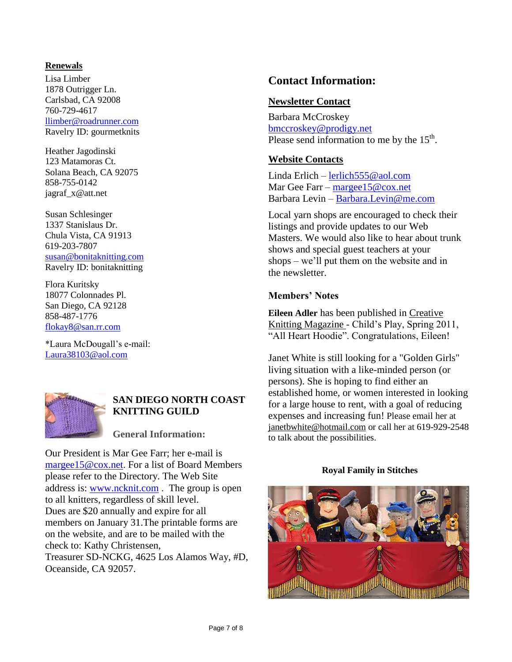#### **Renewals**

Lisa Limber 1878 Outrigger Ln. Carlsbad, CA 92008 760-729-4617 [llimber@roadrunner.com](mailto:llimber@roadrunner.com) Ravelry ID: gourmetknits

Heather Jagodinski 123 Matamoras Ct. Solana Beach, CA 92075 858-755-0142 jagraf\_x@att.net

Susan Schlesinger 1337 Stanislaus Dr. Chula Vista, CA 91913 619-203-7807 [susan@bonitaknitting.com](mailto:susan@bonitaknitting.com) Ravelry ID: bonitaknitting

Flora Kuritsky 18077 Colonnades Pl. San Diego, CA 92128 858-487-1776 [flokay8@san.rr.com](mailto:flokay8@san.rr.com)

\*Laura McDougall's e-mail: [Laura38103@aol.com](mailto:Laura38103@aol.com)



### **SAN DIEGO NORTH COAST KNITTING GUILD**

### **General Information:**

Our President is Mar Gee Farr; her e-mail is [margee15@cox.net.](mailto:margee15@cox.net) For a list of Board Members please refer to the Directory. The Web Site address is: [www.ncknit.com](http://www.ncknit.com/) . The group is open to all knitters, regardless of skill level. Dues are \$20 annually and expire for all members on January 31.The printable forms are on the website, and are to be mailed with the check to: Kathy Christensen, Treasurer SD-NCKG, 4625 Los Alamos Way, #D, Oceanside, CA 92057.

# **Contact Information:**

### **Newsletter Contact**

Barbara McCroskey [bmccroskey@prodigy.net](mailto:bmccroskey@prodigy.net) Please send information to me by the  $15<sup>th</sup>$ .

### **Website Contacts**

Linda Erlich – [lerlich555@aol.com](mailto:lerlich555@aol.com) Mar Gee Farr – [margee15@cox.net](mailto:margee15@cox.net) Barbara Levin – [Barbara.Levin@me.com](mailto:Barbara.Levin@me.com)

Local yarn shops are encouraged to check their listings and provide updates to our Web Masters. We would also like to hear about trunk shows and special guest teachers at your shops – we'll put them on the website and in the newsletter.

### **Members' Notes**

**Eileen Adler** has been published in Creative Knitting Magazine - Child's Play, Spring 2011, "All Heart Hoodie". Congratulations, Eileen!

Janet White is still looking for a "Golden Girls" living situation with a like-minded person (or persons). She is hoping to find either an established home, or women interested in looking for a large house to rent, with a goal of reducing expenses and increasing fun! Please email her at [janetbwhite@hotmail.com](mailto:janetbwhite@hotmail.com) or call her at 619-929-2548 to talk about the possibilities.

#### **Royal Family in Stitches**